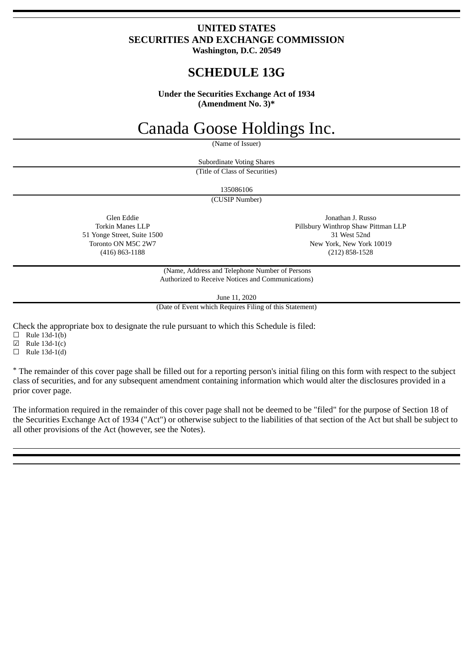## **UNITED STATES SECURITIES AND EXCHANGE COMMISSION Washington, D.C. 20549**

## **SCHEDULE 13G**

**Under the Securities Exchange Act of 1934 (Amendment No. 3)\***

## Canada Goose Holdings Inc.

(Name of Issuer)

Subordinate Voting Shares

(Title of Class of Securities)

135086106

(CUSIP Number)

Glen Eddie Torkin Manes LLP 51 Yonge Street, Suite 1500 Toronto ON M5C 2W7 (416) 863-1188

Jonathan J. Russo Pillsbury Winthrop Shaw Pittman LLP 31 West 52nd New York, New York 10019 (212) 858-1528

(Name, Address and Telephone Number of Persons Authorized to Receive Notices and Communications)

June 11, 2020

(Date of Event which Requires Filing of this Statement)

Check the appropriate box to designate the rule pursuant to which this Schedule is filed:

 $\Box$  Rule 13d-1(b)

☑ Rule 13d-1(c)

 $\Box$  Rule 13d-1(d)

\* The remainder of this cover page shall be filled out for a reporting person's initial filing on this form with respect to the subject class of securities, and for any subsequent amendment containing information which would alter the disclosures provided in a prior cover page.

The information required in the remainder of this cover page shall not be deemed to be "filed" for the purpose of Section 18 of the Securities Exchange Act of 1934 ("Act") or otherwise subject to the liabilities of that section of the Act but shall be subject to all other provisions of the Act (however, see the Notes).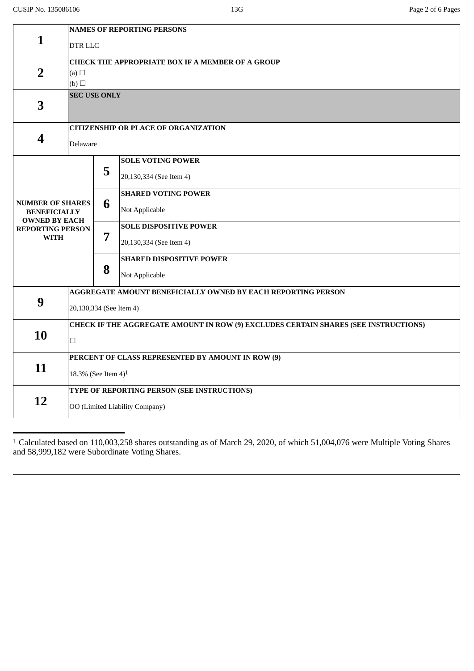|                                                                        | <b>NAMES OF REPORTING PERSONS</b>                                                   |   |                                 |  |
|------------------------------------------------------------------------|-------------------------------------------------------------------------------------|---|---------------------------------|--|
| 1                                                                      | DTR LLC                                                                             |   |                                 |  |
|                                                                        | CHECK THE APPROPRIATE BOX IF A MEMBER OF A GROUP                                    |   |                                 |  |
| $\overline{2}$                                                         | (a) $\Box$                                                                          |   |                                 |  |
|                                                                        | (b)                                                                                 |   |                                 |  |
| 3                                                                      | <b>SEC USE ONLY</b>                                                                 |   |                                 |  |
|                                                                        | <b>CITIZENSHIP OR PLACE OF ORGANIZATION</b>                                         |   |                                 |  |
| 4                                                                      | Delaware                                                                            |   |                                 |  |
|                                                                        |                                                                                     | 5 | <b>SOLE VOTING POWER</b>        |  |
|                                                                        |                                                                                     |   | 20,130,334 (See Item 4)         |  |
|                                                                        |                                                                                     | 6 | <b>SHARED VOTING POWER</b>      |  |
| <b>NUMBER OF SHARES</b><br><b>BENEFICIALLY</b><br><b>OWNED BY EACH</b> |                                                                                     |   | Not Applicable                  |  |
| <b>REPORTING PERSON</b>                                                |                                                                                     |   | <b>SOLE DISPOSITIVE POWER</b>   |  |
| <b>WITH</b>                                                            |                                                                                     | 7 | 20,130,334 (See Item 4)         |  |
|                                                                        |                                                                                     |   | <b>SHARED DISPOSITIVE POWER</b> |  |
|                                                                        |                                                                                     | 8 | Not Applicable                  |  |
|                                                                        | AGGREGATE AMOUNT BENEFICIALLY OWNED BY EACH REPORTING PERSON                        |   |                                 |  |
| 9                                                                      | 20,130,334 (See Item 4)                                                             |   |                                 |  |
| 10                                                                     | CHECK IF THE AGGREGATE AMOUNT IN ROW (9) EXCLUDES CERTAIN SHARES (SEE INSTRUCTIONS) |   |                                 |  |
|                                                                        | $\Box$                                                                              |   |                                 |  |
| 11                                                                     | PERCENT OF CLASS REPRESENTED BY AMOUNT IN ROW (9)                                   |   |                                 |  |
|                                                                        | 18.3% (See Item 4) <sup>1</sup>                                                     |   |                                 |  |
| 12                                                                     | TYPE OF REPORTING PERSON (SEE INSTRUCTIONS)                                         |   |                                 |  |
|                                                                        | OO (Limited Liability Company)                                                      |   |                                 |  |

1 Calculated based on 110,003,258 shares outstanding as of March 29, 2020, of which 51,004,076 were Multiple Voting Shares and 58,999,182 were Subordinate Voting Shares.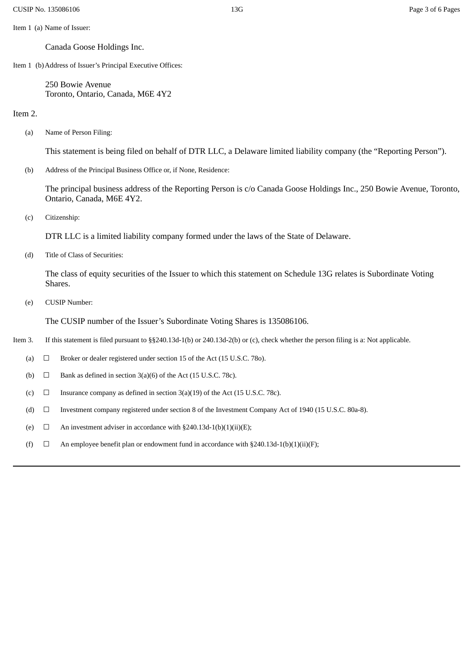Item 1 (a) Name of Issuer:

Canada Goose Holdings Inc.

Item 1 (b)Address of Issuer's Principal Executive Offices:

250 Bowie Avenue Toronto, Ontario, Canada, M6E 4Y2

Item 2.

(a) Name of Person Filing:

This statement is being filed on behalf of DTR LLC, a Delaware limited liability company (the "Reporting Person").

(b) Address of the Principal Business Office or, if None, Residence:

The principal business address of the Reporting Person is c/o Canada Goose Holdings Inc., 250 Bowie Avenue, Toronto, Ontario, Canada, M6E 4Y2.

(c) Citizenship:

DTR LLC is a limited liability company formed under the laws of the State of Delaware.

(d) Title of Class of Securities:

The class of equity securities of the Issuer to which this statement on Schedule 13G relates is Subordinate Voting Shares.

(e) CUSIP Number:

The CUSIP number of the Issuer's Subordinate Voting Shares is 135086106.

Item 3. If this statement is filed pursuant to §§240.13d-1(b) or 240.13d-2(b) or (c), check whether the person filing is a: Not applicable.

(a)  $\Box$  Broker or dealer registered under section 15 of the Act (15 U.S.C. 78o).

(b)  $\Box$  Bank as defined in section 3(a)(6) of the Act (15 U.S.C. 78c).

(c)  $\Box$  Insurance company as defined in section 3(a)(19) of the Act (15 U.S.C. 78c).

(d) ☐ Investment company registered under section 8 of the Investment Company Act of 1940 (15 U.S.C. 80a-8).

(e)  $\Box$  An investment adviser in accordance with §240.13d-1(b)(1)(ii)(E);

(f)  $\Box$  An employee benefit plan or endowment fund in accordance with §240.13d-1(b)(1)(ii)(F);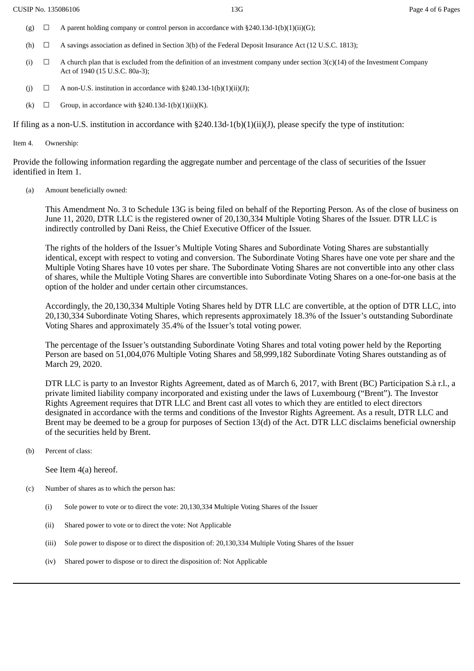- (g)  $\Box$  A parent holding company or control person in accordance with §240.13d-1(b)(1)(ii)(G);
- (h)  $\Box$  A savings association as defined in Section 3(b) of the Federal Deposit Insurance Act (12 U.S.C. 1813);
- (i)  $\Box$  A church plan that is excluded from the definition of an investment company under section 3(c)(14) of the Investment Company Act of 1940 (15 U.S.C. 80a-3);
- (j)  $\Box$  A non-U.S. institution in accordance with §240.13d-1(b)(1)(ii)(J);
- (k)  $\Box$  Group, in accordance with §240.13d-1(b)(1)(ii)(K).

If filing as a non-U.S. institution in accordance with  $\S240.13d-1(b)(1)(ii)(J)$ , please specify the type of institution:

Item 4. Ownership:

Provide the following information regarding the aggregate number and percentage of the class of securities of the Issuer identified in Item 1.

(a) Amount beneficially owned:

This Amendment No. 3 to Schedule 13G is being filed on behalf of the Reporting Person. As of the close of business on June 11, 2020, DTR LLC is the registered owner of 20,130,334 Multiple Voting Shares of the Issuer. DTR LLC is indirectly controlled by Dani Reiss, the Chief Executive Officer of the Issuer.

The rights of the holders of the Issuer's Multiple Voting Shares and Subordinate Voting Shares are substantially identical, except with respect to voting and conversion. The Subordinate Voting Shares have one vote per share and the Multiple Voting Shares have 10 votes per share. The Subordinate Voting Shares are not convertible into any other class of shares, while the Multiple Voting Shares are convertible into Subordinate Voting Shares on a one-for-one basis at the option of the holder and under certain other circumstances.

Accordingly, the 20,130,334 Multiple Voting Shares held by DTR LLC are convertible, at the option of DTR LLC, into 20,130,334 Subordinate Voting Shares, which represents approximately 18.3% of the Issuer's outstanding Subordinate Voting Shares and approximately 35.4% of the Issuer's total voting power.

The percentage of the Issuer's outstanding Subordinate Voting Shares and total voting power held by the Reporting Person are based on 51,004,076 Multiple Voting Shares and 58,999,182 Subordinate Voting Shares outstanding as of March 29, 2020.

DTR LLC is party to an Investor Rights Agreement, dated as of March 6, 2017, with Brent (BC) Participation S.à r.l., a private limited liability company incorporated and existing under the laws of Luxembourg ("Brent"). The Investor Rights Agreement requires that DTR LLC and Brent cast all votes to which they are entitled to elect directors designated in accordance with the terms and conditions of the Investor Rights Agreement. As a result, DTR LLC and Brent may be deemed to be a group for purposes of Section 13(d) of the Act. DTR LLC disclaims beneficial ownership of the securities held by Brent.

(b) Percent of class:

See Item 4(a) hereof.

- (c) Number of shares as to which the person has:
	- (i) Sole power to vote or to direct the vote: 20,130,334 Multiple Voting Shares of the Issuer
	- (ii) Shared power to vote or to direct the vote: Not Applicable
	- (iii) Sole power to dispose or to direct the disposition of: 20,130,334 Multiple Voting Shares of the Issuer
	- (iv) Shared power to dispose or to direct the disposition of: Not Applicable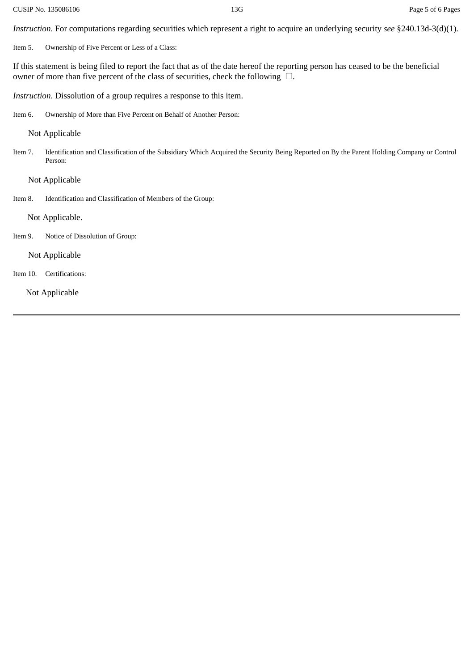*Instruction*. For computations regarding securities which represent a right to acquire an underlying security *see* §240.13d-3(d)(1).

Item 5. Ownership of Five Percent or Less of a Class:

If this statement is being filed to report the fact that as of the date hereof the reporting person has ceased to be the beneficial owner of more than five percent of the class of securities, check the following  $\Box$ .

*Instruction*. Dissolution of a group requires a response to this item.

Item 6. Ownership of More than Five Percent on Behalf of Another Person:

Not Applicable

Item 7. Identification and Classification of the Subsidiary Which Acquired the Security Being Reported on By the Parent Holding Company or Control Person:

Not Applicable

Item 8. Identification and Classification of Members of the Group:

Not Applicable.

Item 9. Notice of Dissolution of Group:

Not Applicable

Item 10. Certifications:

Not Applicable